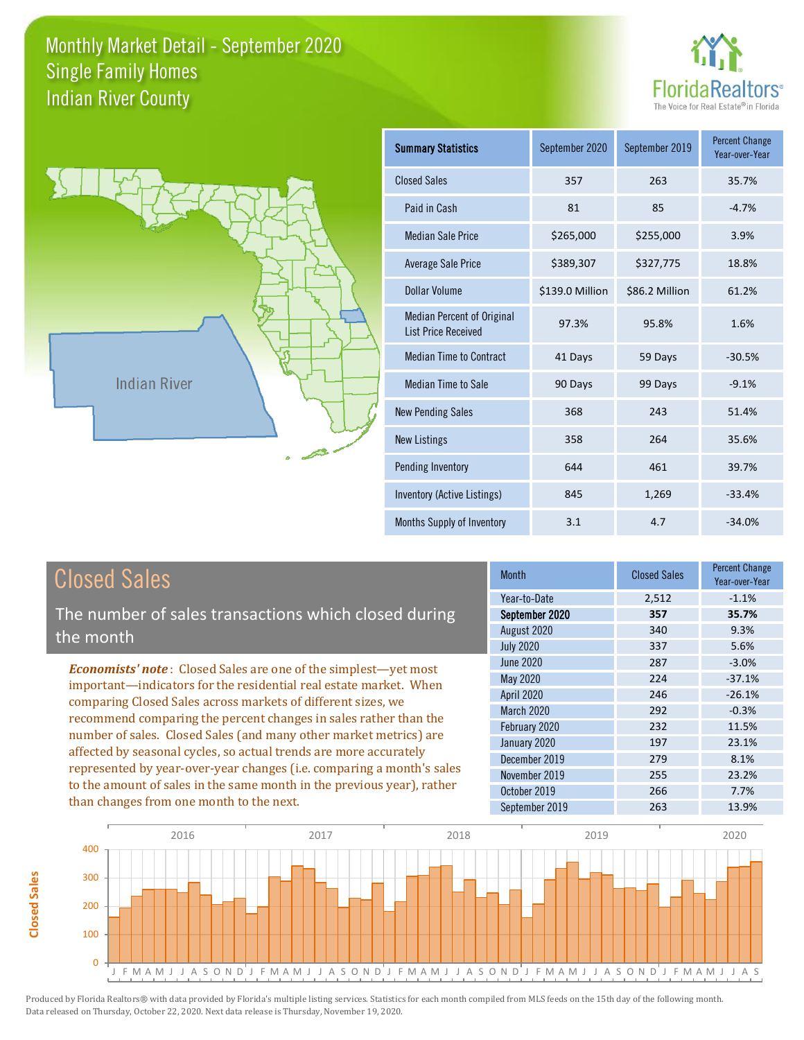



**Closed Sales**

**Closed Sales** 

| <b>Summary Statistics</b>                                       | September 2020  | September 2019 | <b>Percent Change</b><br>Year-over-Year |
|-----------------------------------------------------------------|-----------------|----------------|-----------------------------------------|
| <b>Closed Sales</b>                                             | 357             | 263            | 35.7%                                   |
| Paid in Cash                                                    | 81              | 85             | $-4.7%$                                 |
| <b>Median Sale Price</b>                                        | \$265,000       | \$255,000      | 3.9%                                    |
| Average Sale Price                                              | \$389,307       | \$327,775      | 18.8%                                   |
| Dollar Volume                                                   | \$139.0 Million | \$86.2 Million | 61.2%                                   |
| <b>Median Percent of Original</b><br><b>List Price Received</b> | 97.3%           | 95.8%          | 1.6%                                    |
| <b>Median Time to Contract</b>                                  | 41 Days         | 59 Days        | $-30.5%$                                |
| Median Time to Sale                                             | 90 Days         | 99 Days        | $-9.1%$                                 |
| <b>New Pending Sales</b>                                        | 368             | 243            | 51.4%                                   |
| <b>New Listings</b>                                             | 358             | 264            | 35.6%                                   |
| Pending Inventory                                               | 644             | 461            | 39.7%                                   |
| Inventory (Active Listings)                                     | 845             | 1,269          | $-33.4%$                                |
| Months Supply of Inventory                                      | 3.1             | 4.7            | $-34.0%$                                |

| <b>Closed Sales</b>                                                                                                                                                                                                  | <b>Month</b>                   | <b>Closed Sales</b> | <b>Percent Change</b><br>Year-over-Year |
|----------------------------------------------------------------------------------------------------------------------------------------------------------------------------------------------------------------------|--------------------------------|---------------------|-----------------------------------------|
| The number of sales transactions which closed during                                                                                                                                                                 | Year-to-Date<br>September 2020 | 2,512<br>357        | $-1.1%$<br>35.7%                        |
| the month                                                                                                                                                                                                            | August 2020                    | 340                 | 9.3%                                    |
|                                                                                                                                                                                                                      | <b>July 2020</b>               | 337                 | 5.6%                                    |
| <b>Economists' note:</b> Closed Sales are one of the simplest—yet most                                                                                                                                               | June 2020                      | 287                 | $-3.0%$                                 |
| important—indicators for the residential real estate market. When<br>comparing Closed Sales across markets of different sizes, we                                                                                    | May 2020                       | 224                 | $-37.1%$                                |
|                                                                                                                                                                                                                      | <b>April 2020</b>              | 246                 | $-26.1%$                                |
|                                                                                                                                                                                                                      | <b>March 2020</b>              | 292                 | $-0.3%$                                 |
| recommend comparing the percent changes in sales rather than the<br>number of sales. Closed Sales (and many other market metrics) are                                                                                | February 2020                  | 232                 | 11.5%                                   |
| affected by seasonal cycles, so actual trends are more accurately<br>represented by year-over-year changes (i.e. comparing a month's sales<br>to the amount of sales in the same month in the previous year), rather | January 2020                   | 197                 | 23.1%                                   |
|                                                                                                                                                                                                                      | December 2019                  | 279                 | 8.1%                                    |
|                                                                                                                                                                                                                      | November 2019                  | 255                 | 23.2%                                   |
|                                                                                                                                                                                                                      | October 2019                   | 266                 | 7.7%                                    |
| than changes from one month to the next.                                                                                                                                                                             | September 2019                 | 263                 | 13.9%                                   |

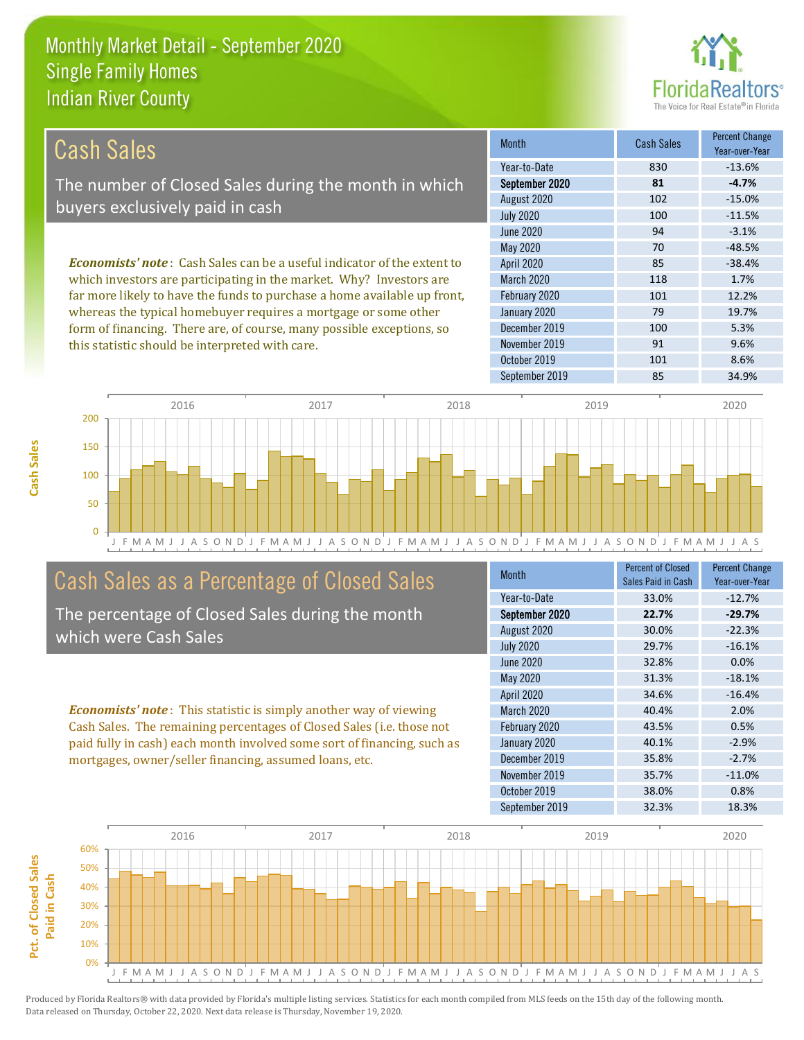this statistic should be interpreted with care.



91 9.6%

| Cash Sales                                                                      | <b>Month</b>      | <b>Cash Sales</b> | <b>Percent Change</b><br>Year-over-Year |
|---------------------------------------------------------------------------------|-------------------|-------------------|-----------------------------------------|
|                                                                                 | Year-to-Date      | 830               | $-13.6%$                                |
| The number of Closed Sales during the month in which                            | September 2020    | 81                | $-4.7%$                                 |
| buyers exclusively paid in cash                                                 | August 2020       | 102               | $-15.0%$                                |
|                                                                                 | <b>July 2020</b>  | 100               | $-11.5%$                                |
|                                                                                 | June 2020         | 94                | $-3.1%$                                 |
|                                                                                 | May 2020          | 70                | $-48.5%$                                |
| <b>Economists' note</b> : Cash Sales can be a useful indicator of the extent to | <b>April 2020</b> | 85                | $-38.4%$                                |
| which investors are participating in the market. Why? Investors are             | <b>March 2020</b> | 118               | 1.7%                                    |
| far more likely to have the funds to purchase a home available up front,        | February 2020     | 101               | 12.2%                                   |
| whereas the typical homebuyer requires a mortgage or some other                 | January 2020      | 79                | 19.7%                                   |
| form of financing. There are, of course, many possible exceptions, so           | December 2019     | 100               | 5.3%                                    |

November 2019



# Cash Sales as a Percentage of Closed Sales

The percentage of Closed Sales during the month which were Cash Sales

*Economists' note* : This statistic is simply another way of viewing Cash Sales. The remaining percentages of Closed Sales (i.e. those not paid fully in cash) each month involved some sort of financing, such as mortgages, owner/seller financing, assumed loans, etc.

| <b>Month</b>      | <b>Percent of Closed</b><br>Sales Paid in Cash | <b>Percent Change</b><br>Year-over-Year |
|-------------------|------------------------------------------------|-----------------------------------------|
| Year-to-Date      | 33.0%                                          | $-12.7%$                                |
| September 2020    | 22.7%                                          | $-29.7%$                                |
| August 2020       | 30.0%                                          | $-22.3%$                                |
| <b>July 2020</b>  | 29.7%                                          | $-16.1%$                                |
| <b>June 2020</b>  | 32.8%                                          | 0.0%                                    |
| May 2020          | 31.3%                                          | $-18.1%$                                |
| <b>April 2020</b> | 34.6%                                          | $-16.4%$                                |
| March 2020        | 40.4%                                          | 2.0%                                    |
| February 2020     | 43.5%                                          | 0.5%                                    |
| January 2020      | 40.1%                                          | $-2.9%$                                 |
| December 2019     | 35.8%                                          | $-2.7%$                                 |
| November 2019     | 35.7%                                          | $-11.0%$                                |
| October 2019      | 38.0%                                          | 0.8%                                    |
| September 2019    | 32.3%                                          | 18.3%                                   |

October 2019 101 101 8.6%

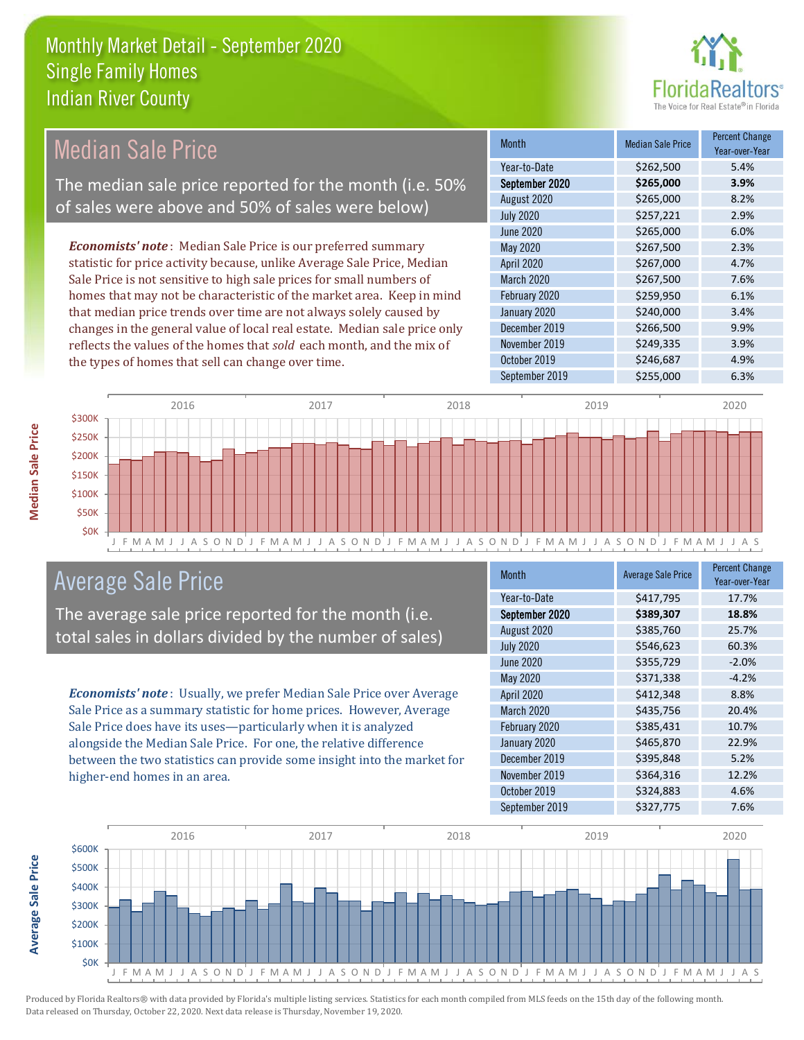

# Median Sale Price

The median sale price reported for the month (i.e. 50% of sales were above and 50% of sales were below)

*Economists' note* : Median Sale Price is our preferred summary statistic for price activity because, unlike Average Sale Price, Median Sale Price is not sensitive to high sale prices for small numbers of homes that may not be characteristic of the market area. Keep in mind that median price trends over time are not always solely caused by changes in the general value of local real estate. Median sale price only reflects the values of the homes that *sold* each month, and the mix of the types of homes that sell can change over time.

| <b>Month</b>      | <b>Median Sale Price</b> | <b>Percent Change</b><br>Year-over-Year |
|-------------------|--------------------------|-----------------------------------------|
| Year-to-Date      | \$262,500                | 5.4%                                    |
| September 2020    | \$265,000                | 3.9%                                    |
| August 2020       | \$265,000                | 8.2%                                    |
| <b>July 2020</b>  | \$257,221                | 2.9%                                    |
| June 2020         | \$265,000                | 6.0%                                    |
| May 2020          | \$267,500                | 2.3%                                    |
| <b>April 2020</b> | \$267,000                | 4.7%                                    |
| March 2020        | \$267,500                | 7.6%                                    |
| February 2020     | \$259,950                | 6.1%                                    |
| January 2020      | \$240,000                | 3.4%                                    |
| December 2019     | \$266,500                | 9.9%                                    |
| November 2019     | \$249,335                | 3.9%                                    |
| October 2019      | \$246,687                | 4.9%                                    |
| September 2019    | \$255,000                | 6.3%                                    |



# Average Sale Price

The average sale price reported for the month (i.e. total sales in dollars divided by the number of sales)

*Economists' note* : Usually, we prefer Median Sale Price over Average Sale Price as a summary statistic for home prices. However, Average Sale Price does have its uses—particularly when it is analyzed alongside the Median Sale Price. For one, the relative difference between the two statistics can provide some insight into the market for higher-end homes in an area.

| <b>Month</b>      | <b>Average Sale Price</b> | <b>Percent Change</b><br>Year-over-Year |
|-------------------|---------------------------|-----------------------------------------|
| Year-to-Date      | \$417,795                 | 17.7%                                   |
| September 2020    | \$389,307                 | 18.8%                                   |
| August 2020       | \$385,760                 | 25.7%                                   |
| <b>July 2020</b>  | \$546,623                 | 60.3%                                   |
| <b>June 2020</b>  | \$355,729                 | $-2.0%$                                 |
| May 2020          | \$371,338                 | $-4.2%$                                 |
| <b>April 2020</b> | \$412,348                 | 8.8%                                    |
| March 2020        | \$435,756                 | 20.4%                                   |
| February 2020     | \$385,431                 | 10.7%                                   |
| January 2020      | \$465,870                 | 22.9%                                   |
| December 2019     | \$395,848                 | 5.2%                                    |
| November 2019     | \$364,316                 | 12.2%                                   |
| October 2019      | \$324,883                 | 4.6%                                    |
| September 2019    | \$327,775                 | 7.6%                                    |



Data released on Thursday, October 22, 2020. Next data release is Thursday, November 19, 2020.

**Average Sale Price**

**Average Sale Price**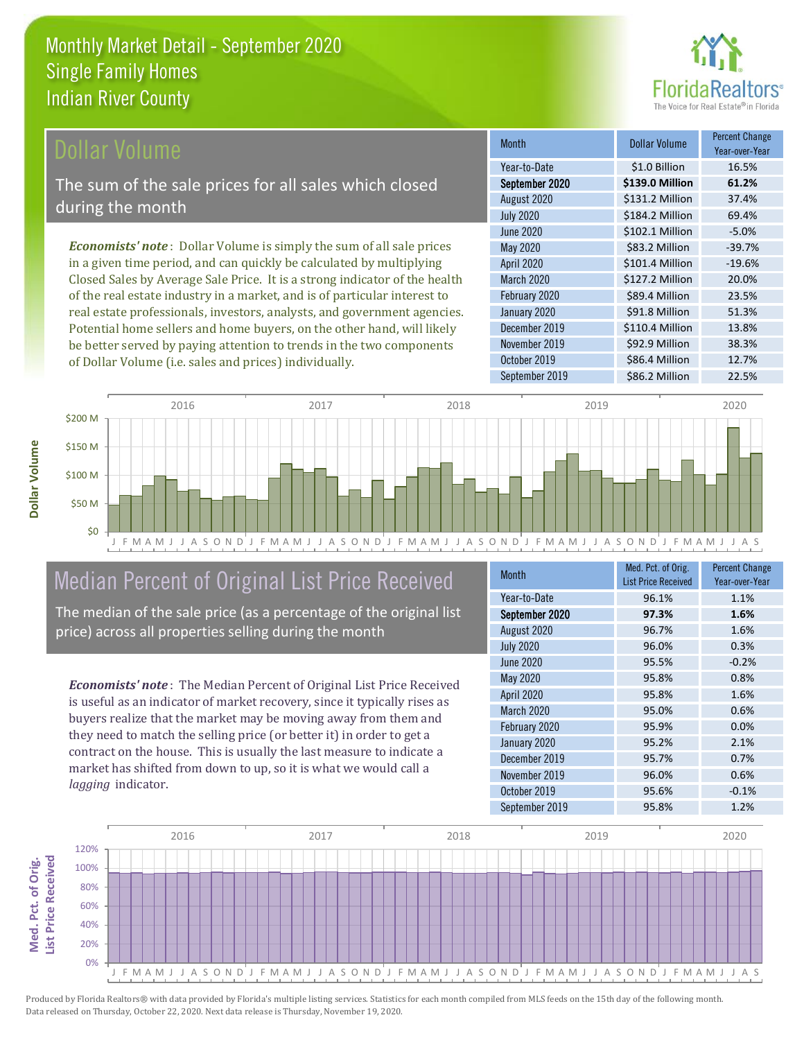

### **Ollar Volume**

The sum of the sale prices for all sales which closed during the month

*Economists' note* : Dollar Volume is simply the sum of all sale prices in a given time period, and can quickly be calculated by multiplying Closed Sales by Average Sale Price. It is a strong indicator of the health of the real estate industry in a market, and is of particular interest to real estate professionals, investors, analysts, and government agencies. Potential home sellers and home buyers, on the other hand, will likely be better served by paying attention to trends in the two components of Dollar Volume (i.e. sales and prices) individually.

| <b>Month</b>      | Dollar Volume   | <b>Percent Change</b><br>Year-over-Year |
|-------------------|-----------------|-----------------------------------------|
| Year-to-Date      | \$1.0 Billion   | 16.5%                                   |
| September 2020    | \$139.0 Million | 61.2%                                   |
| August 2020       | \$131.2 Million | 37.4%                                   |
| <b>July 2020</b>  | \$184.2 Million | 69.4%                                   |
| June 2020         | \$102.1 Million | $-5.0%$                                 |
| May 2020          | \$83.2 Million  | $-39.7%$                                |
| <b>April 2020</b> | \$101.4 Million | $-19.6%$                                |
| March 2020        | \$127.2 Million | 20.0%                                   |
| February 2020     | \$89.4 Million  | 23.5%                                   |
| January 2020      | \$91.8 Million  | 51.3%                                   |
| December 2019     | \$110.4 Million | 13.8%                                   |
| November 2019     | \$92.9 Million  | 38.3%                                   |
| October 2019      | \$86.4 Million  | 12.7%                                   |
| September 2019    | \$86.2 Million  | 22.5%                                   |



# Median Percent of Original List Price Received

The median of the sale price (as a percentage of the original list price) across all properties selling during the month

*Economists' note* : The Median Percent of Original List Price Received is useful as an indicator of market recovery, since it typically rises as buyers realize that the market may be moving away from them and they need to match the selling price (or better it) in order to get a contract on the house. This is usually the last measure to indicate a market has shifted from down to up, so it is what we would call a *lagging* indicator.

| <b>Month</b>      | Med. Pct. of Orig.<br><b>List Price Received</b> | <b>Percent Change</b><br>Year-over-Year |
|-------------------|--------------------------------------------------|-----------------------------------------|
| Year-to-Date      | 96.1%                                            | 1.1%                                    |
| September 2020    | 97.3%                                            | 1.6%                                    |
| August 2020       | 96.7%                                            | 1.6%                                    |
| <b>July 2020</b>  | 96.0%                                            | 0.3%                                    |
| <b>June 2020</b>  | 95.5%                                            | $-0.2%$                                 |
| May 2020          | 95.8%                                            | 0.8%                                    |
| <b>April 2020</b> | 95.8%                                            | 1.6%                                    |
| <b>March 2020</b> | 95.0%                                            | 0.6%                                    |
| February 2020     | 95.9%                                            | 0.0%                                    |
| January 2020      | 95.2%                                            | 2.1%                                    |
| December 2019     | 95.7%                                            | 0.7%                                    |
| November 2019     | 96.0%                                            | 0.6%                                    |
| October 2019      | 95.6%                                            | $-0.1%$                                 |
| September 2019    | 95.8%                                            | 1.2%                                    |

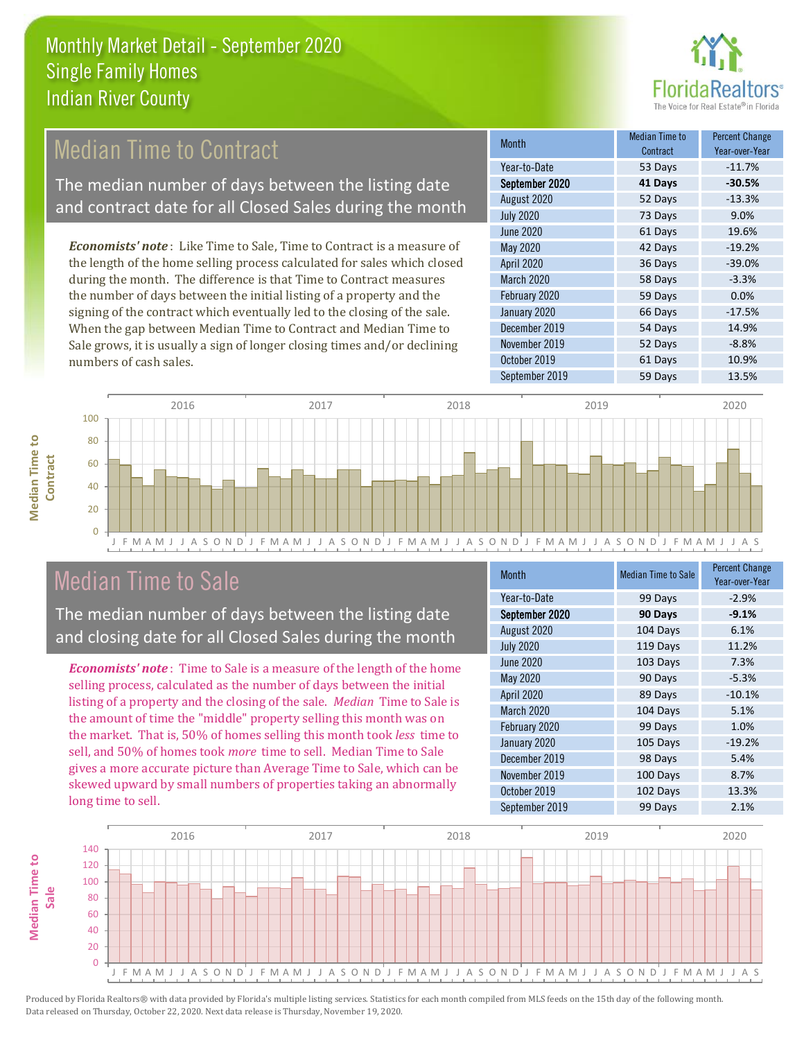

# **Median Time to Contract**

The median number of days between the listing date and contract date for all Closed Sales during the month

*Economists' note* : Like Time to Sale, Time to Contract is a measure of the length of the home selling process calculated for sales which closed during the month. The difference is that Time to Contract measures the number of days between the initial listing of a property and the signing of the contract which eventually led to the closing of the sale. When the gap between Median Time to Contract and Median Time to Sale grows, it is usually a sign of longer closing times and/or declining numbers of cash sales.

| <b>Month</b>     | Median Time to<br>Contract | <b>Percent Change</b><br>Year-over-Year |
|------------------|----------------------------|-----------------------------------------|
| Year-to-Date     | 53 Days                    | $-11.7%$                                |
| September 2020   | 41 Days                    | $-30.5%$                                |
| August 2020      | 52 Days                    | $-13.3%$                                |
| <b>July 2020</b> | 73 Days                    | 9.0%                                    |
| <b>June 2020</b> | 61 Days                    | 19.6%                                   |
| May 2020         | 42 Days                    | $-19.2%$                                |
| April 2020       | 36 Days                    | $-39.0%$                                |
| March 2020       | 58 Days                    | $-3.3%$                                 |
| February 2020    | 59 Days                    | 0.0%                                    |
| January 2020     | 66 Days                    | $-17.5%$                                |
| December 2019    | 54 Days                    | 14.9%                                   |
| November 2019    | 52 Days                    | $-8.8%$                                 |
| October 2019     | 61 Days                    | 10.9%                                   |
| September 2019   | 59 Days                    | 13.5%                                   |



# Median Time to Sale

**Median Time to Contract**

**Median Time to** 

The median number of days between the listing date and closing date for all Closed Sales during the month

*Economists' note* : Time to Sale is a measure of the length of the home selling process, calculated as the number of days between the initial listing of a property and the closing of the sale. *Median* Time to Sale is the amount of time the "middle" property selling this month was on the market. That is, 50% of homes selling this month took *less* time to sell, and 50% of homes took *more* time to sell. Median Time to Sale gives a more accurate picture than Average Time to Sale, which can be skewed upward by small numbers of properties taking an abnormally long time to sell.

| <b>Month</b>      | <b>Median Time to Sale</b> | <b>Percent Change</b><br>Year-over-Year |
|-------------------|----------------------------|-----------------------------------------|
| Year-to-Date      | 99 Days                    | $-2.9%$                                 |
| September 2020    | 90 Days                    | $-9.1%$                                 |
| August 2020       | 104 Days                   | 6.1%                                    |
| <b>July 2020</b>  | 119 Days                   | 11.2%                                   |
| June 2020         | 103 Days                   | 7.3%                                    |
| <b>May 2020</b>   | 90 Days                    | $-5.3%$                                 |
| <b>April 2020</b> | 89 Days                    | $-10.1%$                                |
| <b>March 2020</b> | 104 Days                   | 5.1%                                    |
| February 2020     | 99 Days                    | 1.0%                                    |
| January 2020      | 105 Days                   | $-19.2%$                                |
| December 2019     | 98 Days                    | 5.4%                                    |
| November 2019     | 100 Days                   | 8.7%                                    |
| October 2019      | 102 Days                   | 13.3%                                   |
| September 2019    | 99 Days                    | 2.1%                                    |

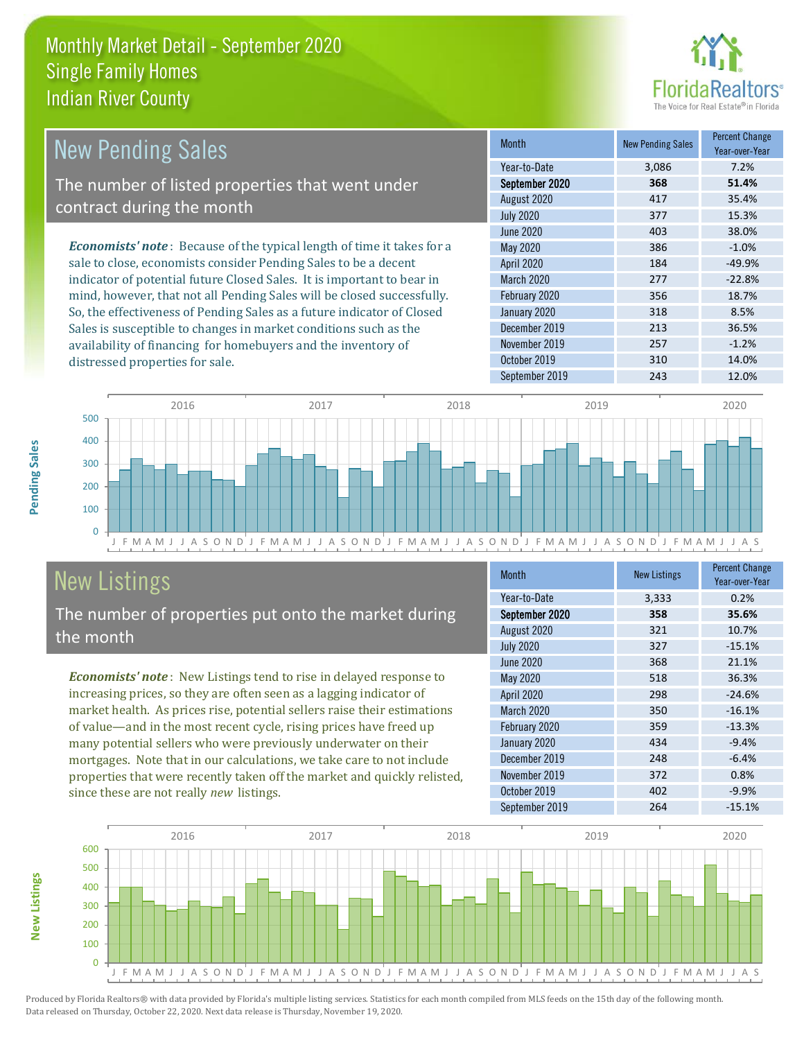

| <b>New Pending Sales</b>                                                      | <b>Month</b>      | <b>New Pending Sales</b> | <b>Percent Change</b><br>Year-over-Year |
|-------------------------------------------------------------------------------|-------------------|--------------------------|-----------------------------------------|
|                                                                               | Year-to-Date      | 3,086                    | 7.2%                                    |
| The number of listed properties that went under                               | September 2020    | 368                      | 51.4%                                   |
| contract during the month                                                     | August 2020       | 417                      | 35.4%                                   |
|                                                                               | <b>July 2020</b>  | 377                      | 15.3%                                   |
|                                                                               | June 2020         | 403                      | 38.0%                                   |
| <b>Economists' note:</b> Because of the typical length of time it takes for a | May 2020          | 386                      | $-1.0%$                                 |
| sale to close, economists consider Pending Sales to be a decent               | <b>April 2020</b> | 184                      | $-49.9%$                                |
| indicator of potential future Closed Sales. It is important to bear in        | <b>March 2020</b> | 277                      | $-22.8%$                                |
| mind, however, that not all Pending Sales will be closed successfully.        | February 2020     | 356                      | 18.7%                                   |
| So, the effectiveness of Pending Sales as a future indicator of Closed        | January 2020      | 318                      | 8.5%                                    |
| Sales is susceptible to changes in market conditions such as the              | December 2019     | 213                      | 36.5%                                   |
| availability of financing for homebuyers and the inventory of                 | November 2019     | 257                      | $-1.2%$                                 |



# New Listings

distressed properties for sale.

The number of properties put onto the market during the month

*Economists' note* : New Listings tend to rise in delayed response to increasing prices, so they are often seen as a lagging indicator of market health. As prices rise, potential sellers raise their estimations of value—and in the most recent cycle, rising prices have freed up many potential sellers who were previously underwater on their mortgages. Note that in our calculations, we take care to not include properties that were recently taken off the market and quickly relisted, since these are not really *new* listings.

| <b>Month</b>     | <b>New Listings</b> | <b>Percent Change</b><br>Year-over-Year |
|------------------|---------------------|-----------------------------------------|
| Year-to-Date     | 3,333               | 0.2%                                    |
| September 2020   | 358                 | 35.6%                                   |
| August 2020      | 321                 | 10.7%                                   |
| <b>July 2020</b> | 327                 | $-15.1%$                                |
| <b>June 2020</b> | 368                 | 21.1%                                   |
| May 2020         | 518                 | 36.3%                                   |
| April 2020       | 298                 | $-24.6%$                                |
| March 2020       | 350                 | $-16.1%$                                |
| February 2020    | 359                 | $-13.3%$                                |
| January 2020     | 434                 | $-9.4%$                                 |
| December 2019    | 248                 | $-6.4%$                                 |
| November 2019    | 372                 | 0.8%                                    |
| October 2019     | 402                 | $-9.9%$                                 |
| September 2019   | 264                 | $-15.1%$                                |

October 2019 310 310 14.0% September 2019 243 243 12.0%



Produced by Florida Realtors® with data provided by Florida's multiple listing services. Statistics for each month compiled from MLS feeds on the 15th day of the following month. Data released on Thursday, October 22, 2020. Next data release is Thursday, November 19, 2020.

**New Listings**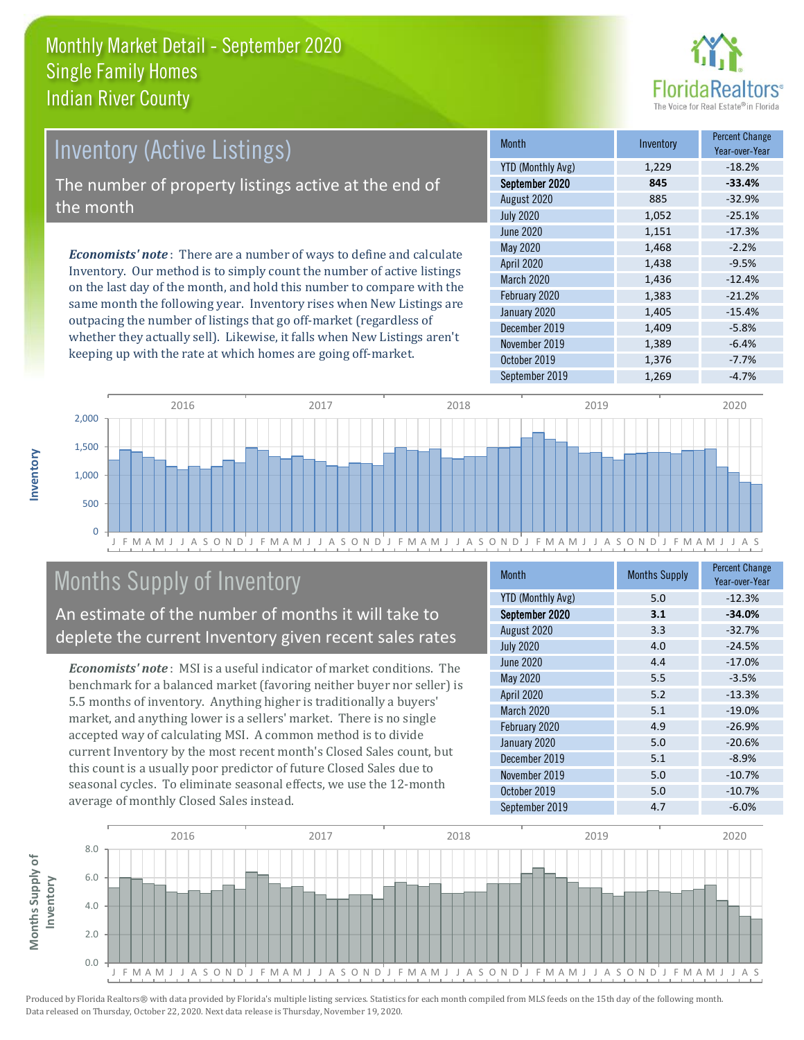

# Inventory (Active Listings) The number of property listings active at the end of the month

*Economists' note* : There are a number of ways to define and calculate Inventory. Our method is to simply count the number of active listings on the last day of the month, and hold this number to compare with the same month the following year. Inventory rises when New Listings are outpacing the number of listings that go off-market (regardless of whether they actually sell). Likewise, it falls when New Listings aren't keeping up with the rate at which homes are going off-market.

| Month                    | Inventory | <b>Percent Change</b><br>Year-over-Year |
|--------------------------|-----------|-----------------------------------------|
| <b>YTD (Monthly Avg)</b> | 1,229     | $-18.2%$                                |
| September 2020           | 845       | $-33.4%$                                |
| August 2020              | 885       | $-32.9%$                                |
| <b>July 2020</b>         | 1,052     | $-25.1%$                                |
| <b>June 2020</b>         | 1,151     | $-17.3%$                                |
| May 2020                 | 1,468     | $-2.2%$                                 |
| <b>April 2020</b>        | 1,438     | $-9.5%$                                 |
| March 2020               | 1,436     | $-12.4%$                                |
| February 2020            | 1,383     | $-21.2%$                                |
| January 2020             | 1,405     | $-15.4%$                                |
| December 2019            | 1,409     | $-5.8%$                                 |
| November 2019            | 1,389     | $-6.4%$                                 |
| October 2019             | 1,376     | $-7.7%$                                 |
| September 2019           | 1,269     | $-4.7%$                                 |



# Months Supply of Inventory

An estimate of the number of months it will take to deplete the current Inventory given recent sales rates

*Economists' note* : MSI is a useful indicator of market conditions. The benchmark for a balanced market (favoring neither buyer nor seller) is 5.5 months of inventory. Anything higher is traditionally a buyers' market, and anything lower is a sellers' market. There is no single accepted way of calculating MSI. A common method is to divide current Inventory by the most recent month's Closed Sales count, but this count is a usually poor predictor of future Closed Sales due to seasonal cycles. To eliminate seasonal effects, we use the 12-month average of monthly Closed Sales instead.

| <b>Month</b>             | <b>Months Supply</b> | <b>Percent Change</b><br>Year-over-Year |
|--------------------------|----------------------|-----------------------------------------|
| <b>YTD (Monthly Avg)</b> | 5.0                  | $-12.3%$                                |
| September 2020           | 3.1                  | $-34.0%$                                |
| August 2020              | 3.3                  | $-32.7%$                                |
| <b>July 2020</b>         | 4.0                  | $-24.5%$                                |
| June 2020                | 4.4                  | $-17.0%$                                |
| May 2020                 | 5.5                  | $-3.5%$                                 |
| <b>April 2020</b>        | 5.2                  | $-13.3%$                                |
| <b>March 2020</b>        | 5.1                  | $-19.0%$                                |
| February 2020            | 4.9                  | $-26.9%$                                |
| January 2020             | 5.0                  | $-20.6%$                                |
| December 2019            | 5.1                  | $-8.9%$                                 |
| November 2019            | 5.0                  | $-10.7%$                                |
| October 2019             | 5.0                  | $-10.7%$                                |
| September 2019           | 4.7                  | $-6.0%$                                 |



**Inventory**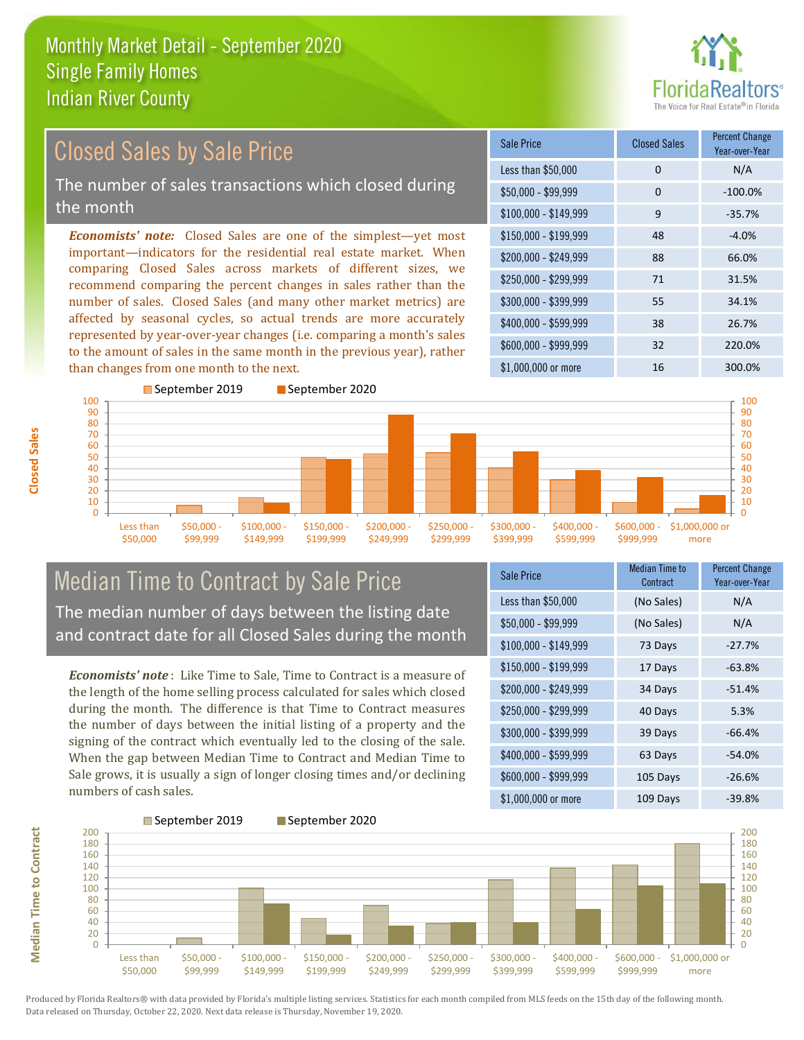

#### *Economists' note:* Closed Sales are one of the simplest—yet most important—indicators for the residential real estate market. When comparing Closed Sales across markets of different sizes, we recommend comparing the percent changes in sales rather than the number of sales. Closed Sales (and many other market metrics) are affected by seasonal cycles, so actual trends are more accurately represented by year-over-year changes (i.e. comparing a month's sales to the amount of sales in the same month in the previous year), rather than changes from one month to the next. \$1,000,000 or more 16 16 300.0% \$250,000 - \$299,999 71 31.5% \$300,000 - \$399,999 55 34.1% \$400,000 - \$599,999 38 26.7% \$600,000 - \$999,999 32 220.0% \$150,000 - \$199,999 48 -4.0% \$200,000 - \$249,999 88 66.0% \$100,000 - \$149,999 9 -35.7% Sale Price Closed Sales Percent Change Year-over-Year Less than \$50,000 0 0 N/A  $$50.000 - $99.999$  0  $-100.0\%$ September 2019 September 2020 Closed Sales by Sale Price The number of sales transactions which closed during the month



### Median Time to Contract by Sale Price The median number of days between the listing date and contract date for all Closed Sales during the month

*Economists' note* : Like Time to Sale, Time to Contract is a measure of the length of the home selling process calculated for sales which closed during the month. The difference is that Time to Contract measures the number of days between the initial listing of a property and the signing of the contract which eventually led to the closing of the sale. When the gap between Median Time to Contract and Median Time to Sale grows, it is usually a sign of longer closing times and/or declining numbers of cash sales.

| <b>Sale Price</b>     | <b>Median Time to</b><br>Contract | <b>Percent Change</b><br>Year-over-Year |
|-----------------------|-----------------------------------|-----------------------------------------|
| Less than \$50,000    | (No Sales)                        | N/A                                     |
| $$50,000 - $99,999$   | (No Sales)                        | N/A                                     |
| $$100,000 - $149,999$ | 73 Days                           | $-27.7%$                                |
| $$150,000 - $199,999$ | 17 Days                           | $-63.8%$                                |
| \$200,000 - \$249,999 | 34 Days                           | $-51.4%$                                |
| \$250,000 - \$299,999 | 40 Days                           | 5.3%                                    |
| \$300,000 - \$399,999 | 39 Days                           | $-66.4%$                                |
| \$400,000 - \$599,999 | 63 Days                           | $-54.0%$                                |
| \$600,000 - \$999,999 | 105 Days                          | $-26.6%$                                |
| \$1,000,000 or more   | 109 Days                          | $-39.8%$                                |

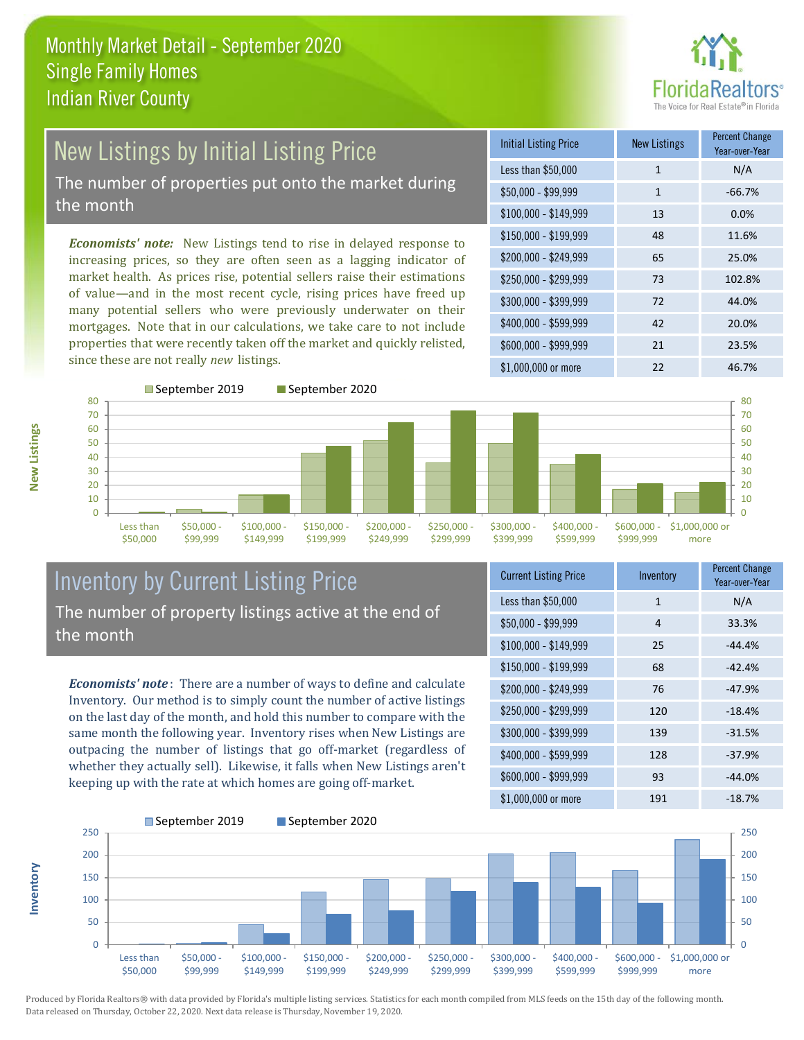

# New Listings by Initial Listing Price The number of properties put onto the market during

the month

*Economists' note:* New Listings tend to rise in delayed response to increasing prices, so they are often seen as a lagging indicator of market health. As prices rise, potential sellers raise their estimations of value—and in the most recent cycle, rising prices have freed up many potential sellers who were previously underwater on their mortgages. Note that in our calculations, we take care to not include properties that were recently taken off the market and quickly relisted, since these are not really *new* listings.

| <b>Initial Listing Price</b> | New Listings | <b>Percent Change</b><br>Year-over-Year |
|------------------------------|--------------|-----------------------------------------|
| Less than \$50,000           | $\mathbf{1}$ | N/A                                     |
| $$50,000 - $99,999$          | 1            | $-66.7%$                                |
| $$100,000 - $149,999$        | 13           | 0.0%                                    |
| $$150,000 - $199,999$        | 48           | 11.6%                                   |
| \$200,000 - \$249,999        | 65           | 25.0%                                   |
| \$250,000 - \$299,999        | 73           | 102.8%                                  |
| \$300,000 - \$399,999        | 72           | 44.0%                                   |
| \$400,000 - \$599,999        | 42           | 20.0%                                   |
| \$600,000 - \$999,999        | 21           | 23.5%                                   |
| $$1,000,000$ or more         | 22           | 46.7%                                   |



### Inventory by Current Listing Price The number of property listings active at the end of the month

*Economists' note* : There are a number of ways to define and calculate Inventory. Our method is to simply count the number of active listings on the last day of the month, and hold this number to compare with the same month the following year. Inventory rises when New Listings are outpacing the number of listings that go off-market (regardless of whether they actually sell). Likewise, it falls when New Listings aren't keeping up with the rate at which homes are going off-market.

| <b>Current Listing Price</b> | Inventory | <b>Percent Change</b><br>Year-over-Year |
|------------------------------|-----------|-----------------------------------------|
| Less than \$50,000           | 1         | N/A                                     |
| $$50,000 - $99,999$          | 4         | 33.3%                                   |
| $$100,000 - $149,999$        | 25        | $-44.4%$                                |
| $$150,000 - $199,999$        | 68        | $-42.4%$                                |
| \$200,000 - \$249,999        | 76        | $-47.9%$                                |
| \$250,000 - \$299,999        | 120       | $-18.4%$                                |
| \$300,000 - \$399,999        | 139       | $-31.5%$                                |
| \$400,000 - \$599,999        | 128       | $-37.9%$                                |
| \$600,000 - \$999,999        | 93        | $-44.0%$                                |
| \$1,000,000 or more          | 191       | $-18.7%$                                |



Produced by Florida Realtors® with data provided by Florida's multiple listing services. Statistics for each month compiled from MLS feeds on the 15th day of the following month. Data released on Thursday, October 22, 2020. Next data release is Thursday, November 19, 2020.

**Inventory**